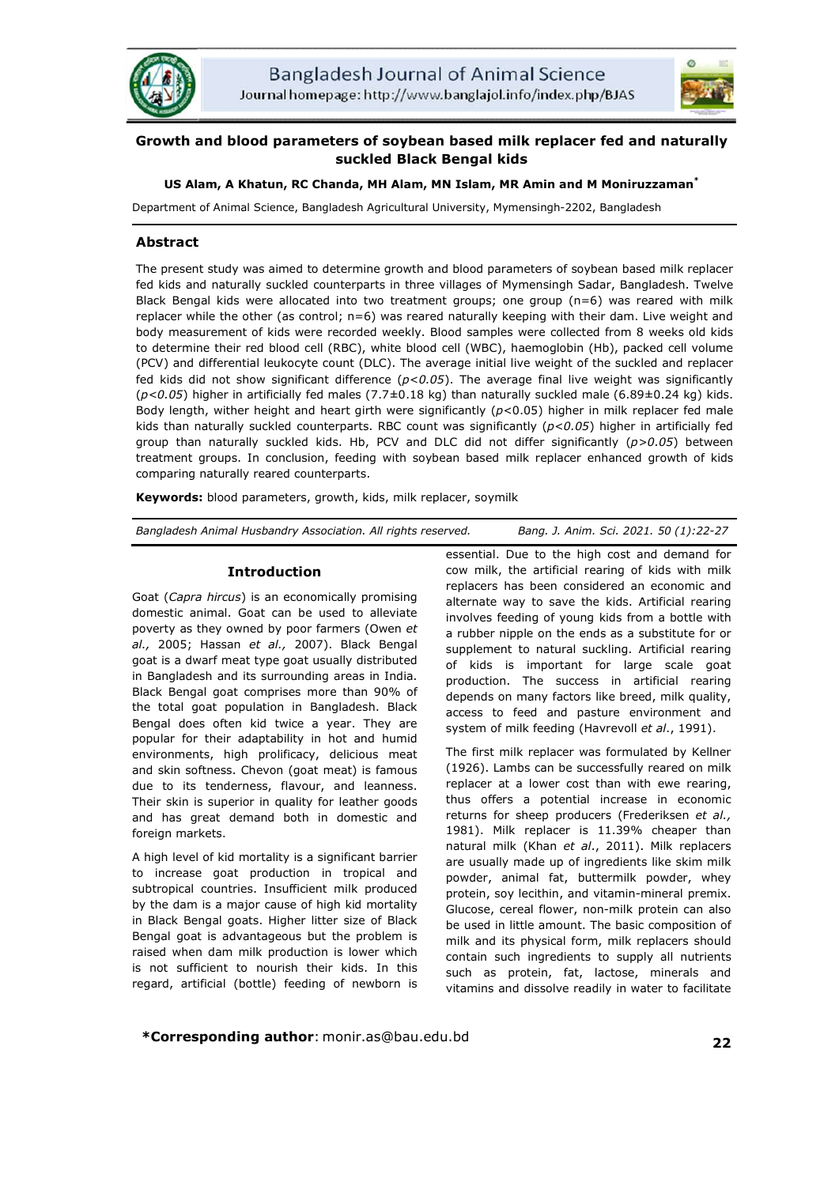



# **Growth and blood parameters of soybean based milk replacer fed and naturally suckled Black Bengal kids**

# **US Alam, A Khatun, RC Chanda, MH Alam, MN Islam, MR Amin and M Moniruzzaman\***

Department of Animal Science, Bangladesh Agricultural University, Mymensingh-2202, Bangladesh

### **Abstract**

The present study was aimed to determine growth and blood parameters of soybean based milk replacer fed kids and naturally suckled counterparts in three villages of Mymensingh Sadar, Bangladesh. Twelve Black Bengal kids were allocated into two treatment groups; one group (n=6) was reared with milk replacer while the other (as control; n=6) was reared naturally keeping with their dam. Live weight and body measurement of kids were recorded weekly. Blood samples were collected from 8 weeks old kids to determine their red blood cell (RBC), white blood cell (WBC), haemoglobin (Hb), packed cell volume (PCV) and differential leukocyte count (DLC). The average initial live weight of the suckled and replacer fed kids did not show significant difference (*p<0.05*). The average final live weight was significantly (*p<0.05*) higher in artificially fed males (7.7±0.18 kg) than naturally suckled male (6.89±0.24 kg) kids. Body length, wither height and heart girth were significantly (*p*<0.05) higher in milk replacer fed male kids than naturally suckled counterparts. RBC count was significantly (*p<0.05*) higher in artificially fed group than naturally suckled kids. Hb, PCV and DLC did not differ significantly (*p>0.05*) between treatment groups. In conclusion, feeding with soybean based milk replacer enhanced growth of kids comparing naturally reared counterparts.

**Keywords:** blood parameters, growth, kids, milk replacer, soymilk

*Bangladesh Animal Husbandry Association. All rights reserved. Bang. J. Anim. Sci. 2021. 50 (1):22-27*

# **Introduction**

Goat (*Capra hircus*) is an economically promising domestic animal. Goat can be used to alleviate poverty as they owned by poor farmers (Owen *et al.,* 2005; Hassan *et al.,* 2007). Black Bengal goat is a dwarf meat type goat usually distributed in Bangladesh and its surrounding areas in India. Black Bengal goat comprises more than 90% of the total goat population in Bangladesh. Black Bengal does often kid twice a year. They are popular for their adaptability in hot and humid environments, high prolificacy, delicious meat and skin softness. Chevon (goat meat) is famous due to its tenderness, flavour, and leanness. Their skin is superior in quality for leather goods and has great demand both in domestic and foreign markets.

A high level of kid mortality is a significant barrier to increase goat production in tropical and subtropical countries. Insufficient milk produced by the dam is a major cause of high kid mortality in Black Bengal goats. Higher litter size of Black Bengal goat is advantageous but the problem is raised when dam milk production is lower which is not sufficient to nourish their kids. In this regard, artificial (bottle) feeding of newborn is essential. Due to the high cost and demand for cow milk, the artificial rearing of kids with milk replacers has been considered an economic and alternate way to save the kids. Artificial rearing involves feeding of young kids from a bottle with a rubber nipple on the ends as a substitute for or supplement to natural suckling. Artificial rearing of kids is important for large scale goat production. The success in artificial rearing depends on many factors like breed, milk quality, access to feed and pasture environment and system of milk feeding (Havrevoll *et al*., 1991).

The first milk replacer was formulated by Kellner (1926). Lambs can be successfully reared on milk replacer at a lower cost than with ewe rearing, thus offers a potential increase in economic returns for sheep producers (Frederiksen *et al.,* 1981). Milk replacer is 11.39% cheaper than natural milk (Khan *et al*., 2011). Milk replacers are usually made up of ingredients like skim milk powder, animal fat, buttermilk powder, whey protein, soy lecithin, and vitamin-mineral premix. Glucose, cereal flower, non-milk protein can also be used in little amount. The basic composition of milk and its physical form, milk replacers should contain such ingredients to supply all nutrients such as protein, fat, lactose, minerals and vitamins and dissolve readily in water to facilitate

**\*Corresponding author**: monir.as@bau.edu.bd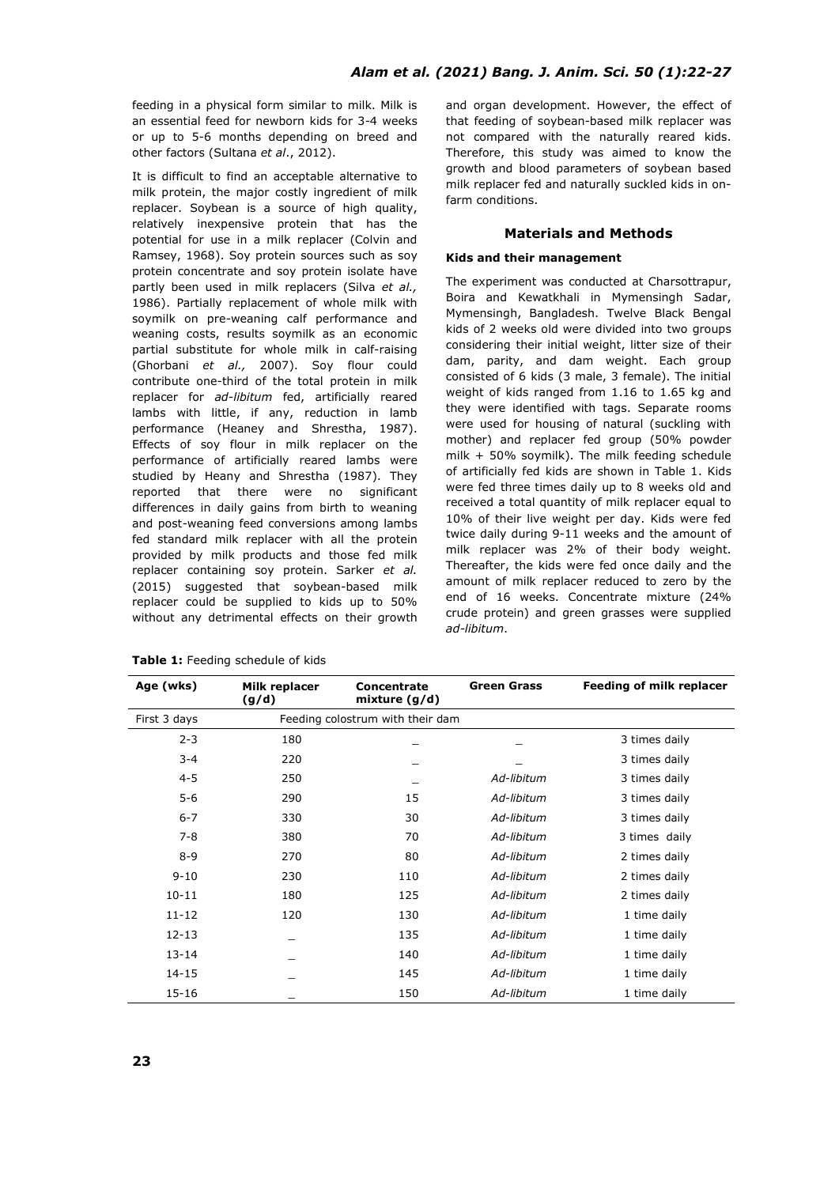feeding in a physical form similar to milk. Milk is an essential feed for newborn kids for 3-4 weeks or up to 5-6 months depending on breed and other factors (Sultana *et al*., 2012).

It is difficult to find an acceptable alternative to milk protein, the major costly ingredient of milk replacer. Soybean is a source of high quality, relatively inexpensive protein that has the potential for use in a milk replacer (Colvin and Ramsey, 1968). Soy protein sources such as soy protein concentrate and soy protein isolate have partly been used in milk replacers (Silva *et al.,* 1986). Partially replacement of whole milk with soymilk on pre-weaning calf performance and weaning costs, results soymilk as an economic partial substitute for whole milk in calf-raising (Ghorbani *et al.,* 2007). Soy flour could contribute one-third of the total protein in milk replacer for *ad-libitum* fed, artificially reared lambs with little, if any, reduction in lamb performance (Heaney and Shrestha, 1987). Effects of soy flour in milk replacer on the performance of artificially reared lambs were studied by Heany and Shrestha (1987). They reported that there were no significant differences in daily gains from birth to weaning and post-weaning feed conversions among lambs fed standard milk replacer with all the protein provided by milk products and those fed milk replacer containing soy protein. Sarker *et al.*  (2015) suggested that soybean-based milk replacer could be supplied to kids up to 50% without any detrimental effects on their growth

|  |  |  | Table 1: Feeding schedule of kids |  |  |
|--|--|--|-----------------------------------|--|--|
|--|--|--|-----------------------------------|--|--|

and organ development. However, the effect of that feeding of soybean-based milk replacer was not compared with the naturally reared kids. Therefore, this study was aimed to know the growth and blood parameters of soybean based milk replacer fed and naturally suckled kids in onfarm conditions.

### **Materials and Methods**

#### **Kids and their management**

The experiment was conducted at Charsottrapur, Boira and Kewatkhali in Mymensingh Sadar, Mymensingh, Bangladesh. Twelve Black Bengal kids of 2 weeks old were divided into two groups considering their initial weight, litter size of their dam, parity, and dam weight. Each group consisted of 6 kids (3 male, 3 female). The initial weight of kids ranged from 1.16 to 1.65 kg and they were identified with tags. Separate rooms were used for housing of natural (suckling with mother) and replacer fed group (50% powder milk + 50% soymilk). The milk feeding schedule of artificially fed kids are shown in Table 1. Kids were fed three times daily up to 8 weeks old and received a total quantity of milk replacer equal to 10% of their live weight per day. Kids were fed twice daily during 9-11 weeks and the amount of milk replacer was 2% of their body weight. Thereafter, the kids were fed once daily and the amount of milk replacer reduced to zero by the end of 16 weeks. Concentrate mixture (24% crude protein) and green grasses were supplied *ad-libitum*.

| Age (wks)    | Milk replacer<br>(g/d) | Concentrate<br>mixture $(g/d)$   | Green Grass | Feeding of milk replacer |
|--------------|------------------------|----------------------------------|-------------|--------------------------|
| First 3 days |                        | Feeding colostrum with their dam |             |                          |
| $2 - 3$      | 180                    |                                  |             | 3 times daily            |
| $3 - 4$      | 220                    |                                  |             | 3 times daily            |
| $4 - 5$      | 250                    |                                  | Ad-libitum  | 3 times daily            |
| $5-6$        | 290                    | 15                               | Ad-libitum  | 3 times daily            |
| $6 - 7$      | 330                    | 30                               | Ad-libitum  | 3 times daily            |
| $7 - 8$      | 380                    | 70                               | Ad-libitum  | 3 times daily            |
| $8 - 9$      | 270                    | 80                               | Ad-libitum  | 2 times daily            |
| $9 - 10$     | 230                    | 110                              | Ad-libitum  | 2 times daily            |
| $10 - 11$    | 180                    | 125                              | Ad-libitum  | 2 times daily            |
| $11 - 12$    | 120                    | 130                              | Ad-libitum  | 1 time daily             |
| $12 - 13$    |                        | 135                              | Ad-libitum  | 1 time daily             |
| $13 - 14$    |                        | 140                              | Ad-libitum  | 1 time daily             |
| 14-15        |                        | 145                              | Ad-libitum  | 1 time daily             |
| $15 - 16$    |                        | 150                              | Ad-libitum  | 1 time daily             |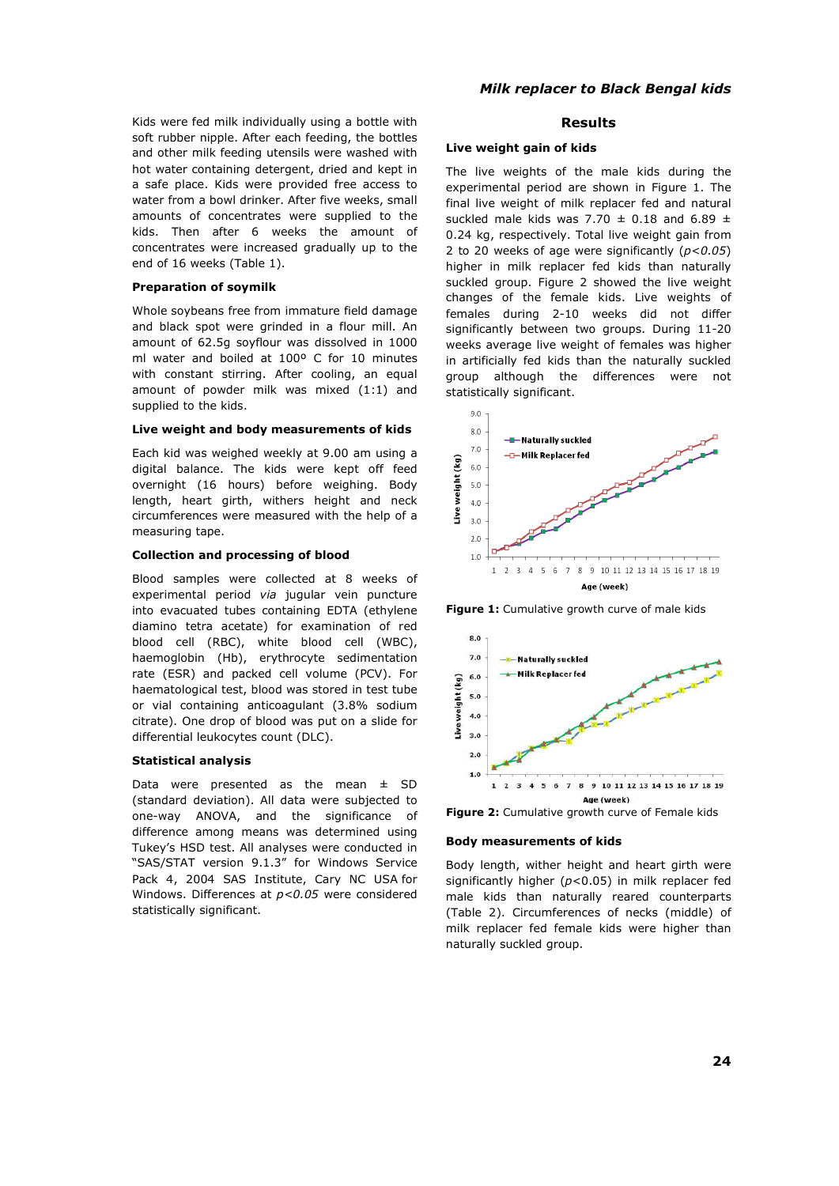Kids were fed milk individually using a bottle with soft rubber nipple. After each feeding, the bottles and other milk feeding utensils were washed with hot water containing detergent, dried and kept in a safe place. Kids were provided free access to water from a bowl drinker. After five weeks, small amounts of concentrates were supplied to the kids. Then after 6 weeks the amount of concentrates were increased gradually up to the end of 16 weeks (Table 1).

#### **Preparation of soymilk**

Whole soybeans free from immature field damage and black spot were grinded in a flour mill. An amount of 62.5g soyflour was dissolved in 1000 ml water and boiled at 100º C for 10 minutes with constant stirring. After cooling, an equal amount of powder milk was mixed (1:1) and supplied to the kids.

### **Live weight and body measurements of kids**

Each kid was weighed weekly at 9.00 am using a digital balance. The kids were kept off feed overnight (16 hours) before weighing. Body length, heart girth, withers height and neck circumferences were measured with the help of a measuring tape.

#### **Collection and processing of blood**

Blood samples were collected at 8 weeks of experimental period *via* jugular vein puncture into evacuated tubes containing EDTA (ethylene diamino tetra acetate) for examination of red blood cell (RBC), white blood cell (WBC), haemoglobin (Hb), erythrocyte sedimentation rate (ESR) and packed cell volume (PCV). For haematological test, blood was stored in test tube or vial containing anticoagulant (3.8% sodium citrate). One drop of blood was put on a slide for differential leukocytes count (DLC).

#### **Statistical analysis**

Data were presented as the mean  $\pm$  SD (standard deviation). All data were subjected to one-way ANOVA, and the significance of difference among means was determined using Tukey's HSD test. All analyses were conducted in "SAS/STAT version 9.1.3" for Windows Service Pack 4, 2004 SAS Institute, Cary NC USA for Windows. Differences at *p<0.05* were considered statistically significant.

### **Results**

#### **Live weight gain of kids**

The live weights of the male kids during the experimental period are shown in Figure 1. The final live weight of milk replacer fed and natural suckled male kids was 7.70  $\pm$  0.18 and 6.89  $\pm$ 0.24 kg, respectively. Total live weight gain from 2 to 20 weeks of age were significantly (*p<0.05*) higher in milk replacer fed kids than naturally suckled group. Figure 2 showed the live weight changes of the female kids. Live weights of females during 2-10 weeks did not differ significantly between two groups. During 11-20 weeks average live weight of females was higher in artificially fed kids than the naturally suckled group although the differences were not statistically significant.



**Figure 1:** Cumulative growth curve of male kids



**Figure 2:** Cumulative growth curve of Female kids

### **Body measurements of kids**

Body length, wither height and heart girth were significantly higher (*p*<0.05) in milk replacer fed male kids than naturally reared counterparts (Table 2). Circumferences of necks (middle) of milk replacer fed female kids were higher than naturally suckled group.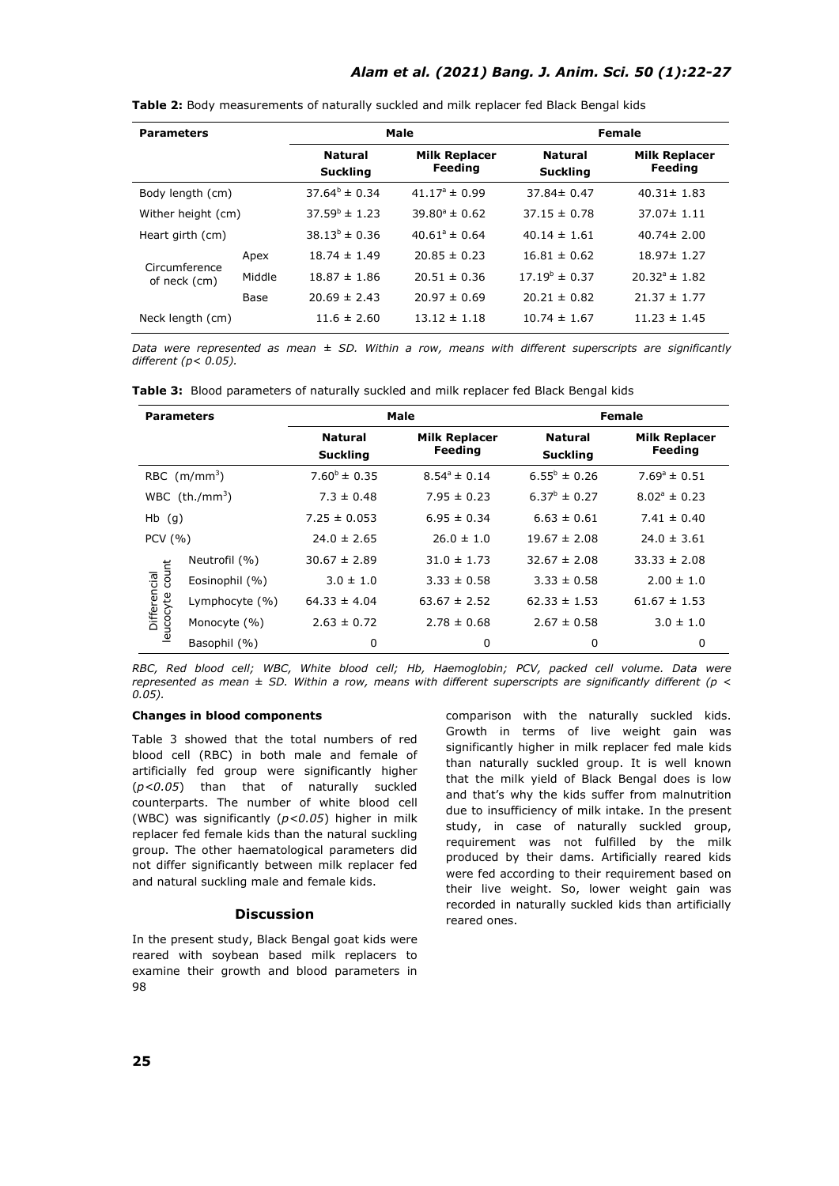# *Alam et al. (2021) Bang. J. Anim. Sci. 50 (1):22-27*

| <b>Parameters</b>             |        | Male                              |                                 | Female                            |                                 |  |
|-------------------------------|--------|-----------------------------------|---------------------------------|-----------------------------------|---------------------------------|--|
|                               |        | <b>Natural</b><br><b>Suckling</b> | <b>Milk Replacer</b><br>Feeding | <b>Natural</b><br><b>Suckling</b> | <b>Milk Replacer</b><br>Feeding |  |
| Body length (cm)              |        | $37.64^{\circ} \pm 0.34$          | $41.17^{\circ} \pm 0.99$        | $37.84 \pm 0.47$                  | $40.31 \pm 1.83$                |  |
| Wither height (cm)            |        | $37.59^{\circ} \pm 1.23$          | $39.80^{\circ} \pm 0.62$        | $37.15 \pm 0.78$                  | $37.07 \pm 1.11$                |  |
| Heart girth (cm)              |        | $38.13^{b} \pm 0.36$              | $40.61^{\circ} \pm 0.64$        | $40.14 \pm 1.61$                  | $40.74 \pm 2.00$                |  |
| Circumference<br>of neck (cm) | Apex   | $18.74 \pm 1.49$                  | $20.85 \pm 0.23$                | $16.81 \pm 0.62$                  | $18.97 \pm 1.27$                |  |
|                               | Middle | $18.87 \pm 1.86$                  | $20.51 \pm 0.36$                | $17.19^{b} \pm 0.37$              | $20.32^{\circ} \pm 1.82$        |  |
|                               | Base   | $20.69 \pm 2.43$                  | $20.97 \pm 0.69$                | $20.21 \pm 0.82$                  | $21.37 \pm 1.77$                |  |
| Neck length (cm)              |        | $11.6 \pm 2.60$                   | $13.12 \pm 1.18$                | $10.74 \pm 1.67$                  | $11.23 \pm 1.45$                |  |

**Table 2:** Body measurements of naturally suckled and milk replacer fed Black Bengal kids

*Data were represented as mean ± SD. Within a row, means with different superscripts are significantly different (p< 0.05).*

| <b>Parameters</b>               |                    | Male                              |                                 | <b>Female</b>                     |                                 |  |
|---------------------------------|--------------------|-----------------------------------|---------------------------------|-----------------------------------|---------------------------------|--|
|                                 |                    | <b>Natural</b><br><b>Suckling</b> | <b>Milk Replacer</b><br>Feeding | <b>Natural</b><br><b>Suckling</b> | <b>Milk Replacer</b><br>Feeding |  |
| RBC $(m/mm^3)$                  |                    | $7.60^{\circ} \pm 0.35$           | $8.54^{\circ} \pm 0.14$         | $6.55^{\circ} \pm 0.26$           | $7.69^{\circ} \pm 0.51$         |  |
| WBC $(th./mm^3)$                |                    | $7.3 \pm 0.48$                    | $7.95 \pm 0.23$                 | $6.37^{\circ} \pm 0.27$           | $8.02^{\circ} \pm 0.23$         |  |
| $Hb$ (g)                        |                    | $7.25 \pm 0.053$                  | $6.95 \pm 0.34$                 | $6.63 \pm 0.61$                   | $7.41 \pm 0.40$                 |  |
| PCV(%)                          |                    | $24.0 \pm 2.65$                   | $26.0 \pm 1.0$                  | $19.67 \pm 2.08$                  | $24.0 \pm 3.61$                 |  |
| Differencial<br>leucocyte count | Neutrofil (%)      | $30.67 \pm 2.89$                  | $31.0 \pm 1.73$                 | $32.67 \pm 2.08$                  | $33.33 \pm 2.08$                |  |
|                                 | Eosinophil (%)     | $3.0 \pm 1.0$                     | $3.33 \pm 0.58$                 | $3.33 \pm 0.58$                   | $2.00 \pm 1.0$                  |  |
|                                 | Lymphocyte $(\% )$ | $64.33 \pm 4.04$                  | $63.67 \pm 2.52$                | $62.33 \pm 1.53$                  | $61.67 \pm 1.53$                |  |
|                                 | Monocyte (%)       | $2.63 \pm 0.72$                   | $2.78 \pm 0.68$                 | $2.67 \pm 0.58$                   | $3.0 \pm 1.0$                   |  |
|                                 | Basophil (%)       | 0                                 | $\Omega$                        | 0                                 | 0                               |  |

*RBC, Red blood cell; WBC, White blood cell; Hb, Haemoglobin; PCV, packed cell volume. Data were represented as mean ± SD. Within a row, means with different superscripts are significantly different (p < 0.05).*

#### **Changes in blood components**

Table 3 showed that the total numbers of red blood cell (RBC) in both male and female of artificially fed group were significantly higher (*p<0.05*) than that of naturally suckled counterparts. The number of white blood cell (WBC) was significantly (*p<0.05*) higher in milk replacer fed female kids than the natural suckling group. The other haematological parameters did not differ significantly between milk replacer fed and natural suckling male and female kids.

### **Discussion**

In the present study, Black Bengal goat kids were reared with soybean based milk replacers to examine their growth and blood parameters in 98

comparison with the naturally suckled kids. Growth in terms of live weight gain was significantly higher in milk replacer fed male kids than naturally suckled group. It is well known that the milk yield of Black Bengal does is low and that's why the kids suffer from malnutrition due to insufficiency of milk intake. In the present study, in case of naturally suckled group, requirement was not fulfilled by the milk produced by their dams. Artificially reared kids were fed according to their requirement based on their live weight. So, lower weight gain was recorded in naturally suckled kids than artificially reared ones.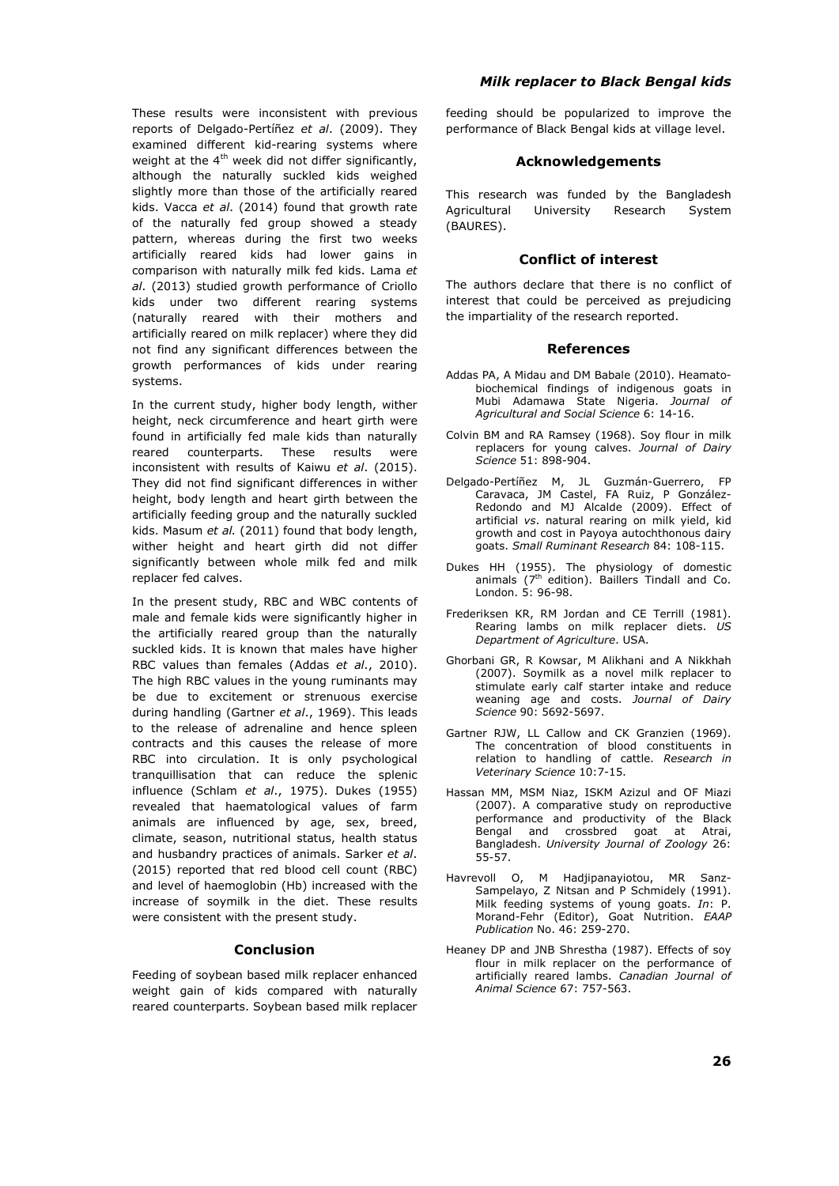These results were inconsistent with previous reports of Delgado-Pertíñez *et al*. (2009). They examined different kid-rearing systems where weight at the  $4<sup>th</sup>$  week did not differ significantly, although the naturally suckled kids weighed slightly more than those of the artificially reared kids. Vacca *et al*. (2014) found that growth rate of the naturally fed group showed a steady pattern, whereas during the first two weeks artificially reared kids had lower gains in comparison with naturally milk fed kids. Lama *et al*. (2013) studied growth performance of Criollo kids under two different rearing systems (naturally reared with their mothers and artificially reared on milk replacer) where they did not find any significant differences between the growth performances of kids under rearing systems.

In the current study, higher body length, wither height, neck circumference and heart girth were found in artificially fed male kids than naturally reared counterparts. These results were inconsistent with results of Kaiwu *et al*. (2015). They did not find significant differences in wither height, body length and heart girth between the artificially feeding group and the naturally suckled kids. Masum *et al.* (2011) found that body length, wither height and heart girth did not differ significantly between whole milk fed and milk replacer fed calves.

In the present study, RBC and WBC contents of male and female kids were significantly higher in the artificially reared group than the naturally suckled kids. It is known that males have higher RBC values than females (Addas *et al*., 2010). The high RBC values in the young ruminants may be due to excitement or strenuous exercise during handling (Gartner *et al*., 1969). This leads to the release of adrenaline and hence spleen contracts and this causes the release of more RBC into circulation. It is only psychological tranquillisation that can reduce the splenic influence (Schlam *et al*., 1975). Dukes (1955) revealed that haematological values of farm animals are influenced by age, sex, breed, climate, season, nutritional status, health status and husbandry practices of animals. Sarker *et al*. (2015) reported that red blood cell count (RBC) and level of haemoglobin (Hb) increased with the increase of soymilk in the diet. These results were consistent with the present study.

### **Conclusion**

Feeding of soybean based milk replacer enhanced weight gain of kids compared with naturally reared counterparts. Soybean based milk replacer

# *Milk replacer to Black Bengal kids*

feeding should be popularized to improve the performance of Black Bengal kids at village level.

### **Acknowledgements**

This research was funded by the Bangladesh Agricultural University Research System (BAURES).

### **Conflict of interest**

The authors declare that there is no conflict of interest that could be perceived as prejudicing the impartiality of the research reported.

#### **References**

- Addas PA, A Midau and DM Babale (2010). Heamatobiochemical findings of indigenous goats in Mubi Adamawa State Nigeria. *Journal of Agricultural and Social Science* 6: 14-16.
- Colvin BM and RA Ramsey (1968). Soy flour in milk replacers for young calves. *Journal of Dairy Science* 51: 898-904.
- Delgado-Pertíñez M, JL Guzmán-Guerrero, FP Caravaca, JM Castel, FA Ruiz, P González-Redondo and MJ Alcalde (2009). Effect of artificial *vs*. natural rearing on milk yield, kid growth and cost in Payoya autochthonous dairy goats. *Small Ruminant Research* 84: 108-115.
- Dukes HH (1955). The physiology of domestic animals  $(7<sup>th</sup>$  edition). Baillers Tindall and Co. London. 5: 96-98.
- Frederiksen KR, RM Jordan and CE Terrill (1981). Rearing lambs on milk replacer diets. *US Department of Agriculture*. USA.
- Ghorbani GR, R Kowsar, M Alikhani and A Nikkhah (2007). Soymilk as a novel milk replacer to stimulate early calf starter intake and reduce weaning age and costs. *Journal of Dairy Science* 90: 5692-5697.
- Gartner RJW, LL Callow and CK Granzien (1969). The concentration of blood constituents in relation to handling of cattle. *Research in Veterinary Science* 10:7-15.
- Hassan MM, MSM Niaz, ISKM Azizul and OF Miazi (2007). A comparative study on reproductive performance and productivity of the Black Bengal and crossbred goat at Atrai, Bangladesh. *University Journal of Zoology* 26: 55-57.
- Havrevoll O, M Hadjipanayiotou, MR Sanz-Sampelayo, Z Nitsan and P Schmidely (1991). Milk feeding systems of young goats. *In*: P. Morand-Fehr (Editor), Goat Nutrition. *EAAP Publication* No. 46: 259-270.
- Heaney DP and JNB Shrestha (1987). Effects of soy flour in milk replacer on the performance of artificially reared lambs. *Canadian Journal of Animal Science* 67: 757-563.